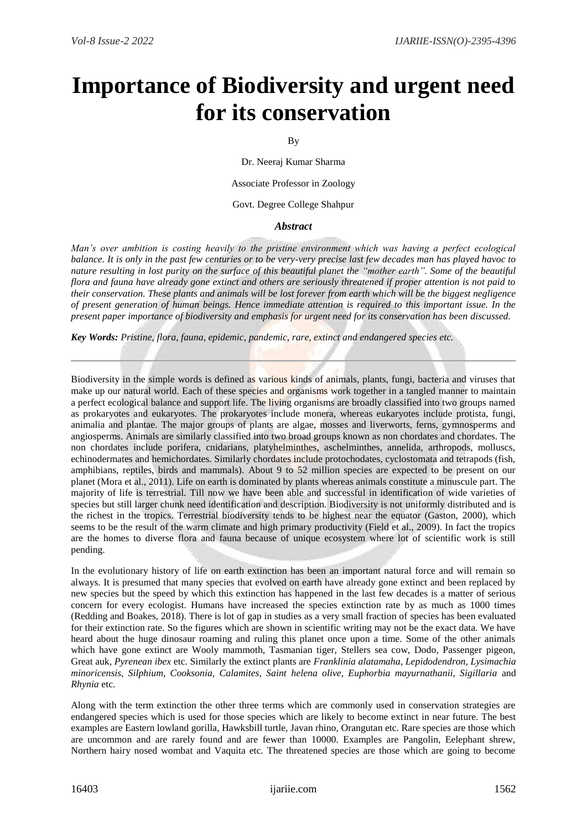## **Importance of Biodiversity and urgent need for its conservation**

## By

Dr. Neeraj Kumar Sharma

Associate Professor in Zoology

Govt. Degree College Shahpur

## *Abstract*

*Man's over ambition is costing heavily to the pristine environment which was having a perfect ecological balance. It is only in the past few centuries or to be very-very precise last few decades man has played havoc to nature resulting in lost purity on the surface of this beautiful planet the "mother earth". Some of the beautiful flora and fauna have already gone extinct and others are seriously threatened if proper attention is not paid to their conservation. These plants and animals will be lost forever from earth which will be the biggest negligence of present generation of human beings. Hence immediate attention is required to this important issue. In the present paper importance of biodiversity and emphasis for urgent need for its conservation has been discussed.*

*Key Words: Pristine, flora, fauna, epidemic, pandemic, rare, extinct and endangered species etc.*

Biodiversity in the simple words is defined as various kinds of animals, plants, fungi, bacteria and viruses that make up our natural world. Each of these species and organisms work together in a tangled manner to maintain a perfect ecological balance and support life. The living organisms are broadly classified into two groups named as prokaryotes and eukaryotes. The prokaryotes include monera, whereas eukaryotes include protista, fungi, animalia and plantae. The major groups of plants are algae, mosses and liverworts, ferns, gymnosperms and angiosperms. Animals are similarly classified into two broad groups known as non chordates and chordates. The non chordates include porifera, cnidarians, platyhelminthes, aschelminthes, annelida, arthropods, molluscs, echinodermates and hemichordates. Similarly chordates include protochodates, cyclostomata and tetrapods (fish, amphibians, reptiles, birds and mammals). About 9 to 52 million species are expected to be present on our planet (Mora et al., 2011). Life on earth is dominated by plants whereas animals constitute a minuscule part. The majority of life is terrestrial. Till now we have been able and successful in identification of wide varieties of species but still larger chunk need identification and description. Biodiversity is not uniformly distributed and is the richest in the tropics. Terrestrial biodiversity tends to be highest near the equator (Gaston, 2000), which seems to be the result of the warm climate and high primary productivity (Field et al., 2009). In fact the tropics are the homes to diverse flora and fauna because of unique ecosystem where lot of scientific work is still pending.

In the evolutionary history of life on earth extinction has been an important natural force and will remain so always. It is presumed that many species that evolved on earth have already gone extinct and been replaced by new species but the speed by which this extinction has happened in the last few decades is a matter of serious concern for every ecologist. Humans have increased the species extinction rate by as much as 1000 times (Redding and Boakes, 2018). There is lot of gap in studies as a very small fraction of species has been evaluated for their extinction rate. So the figures which are shown in scientific writing may not be the exact data. We have heard about the huge dinosaur roaming and ruling this planet once upon a time. Some of the other animals which have gone extinct are Wooly mammoth, Tasmanian tiger, Stellers sea cow, Dodo, Passenger pigeon, Great auk, *Pyrenean ibex* etc. Similarly the extinct plants are *Franklinia alatamaha*, *Lepidodendron, Lysimachia minoricensis, Silphium, Cooksonia, Calamites, Saint helena olive, Euphorbia mayurnathanii, Sigillaria* and *Rhynia* etc.

Along with the term extinction the other three terms which are commonly used in conservation strategies are endangered species which is used for those species which are likely to become extinct in near future. The best examples are Eastern lowland gorilla, Hawksbill turtle, Javan rhino, Orangutan etc. Rare species are those which are uncommon and are rarely found and are fewer than 10000. Examples are Pangolin, Eelephant shrew, Northern hairy nosed wombat and Vaquita etc. The threatened species are those which are going to become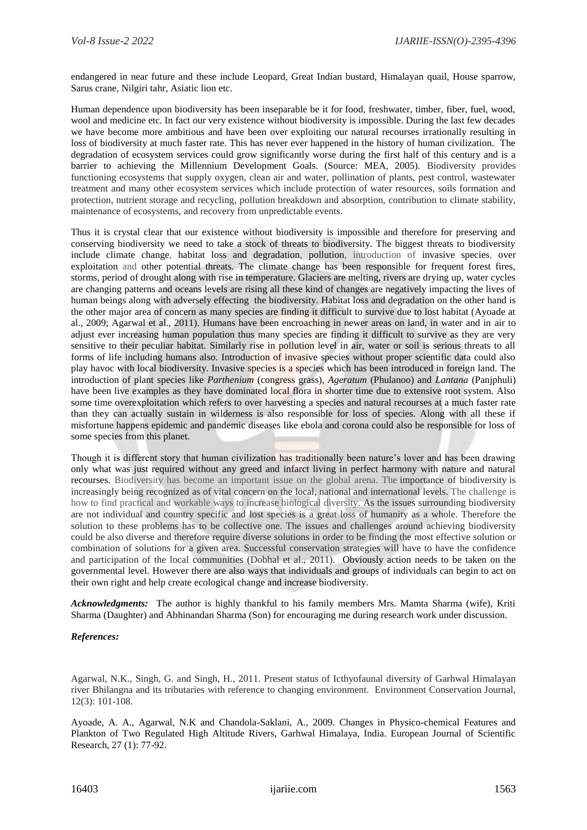endangered in near future and these include Leopard, Great Indian bustard, Himalayan quail, House sparrow, Sarus crane, Nilgiri tahr, Asiatic lion etc.

Human dependence upon biodiversity has been inseparable be it for food, freshwater, timber, fiber, fuel, wood, wool and medicine etc. In fact our very existence without biodiversity is impossible. During the last few decades we have become more ambitious and have been over exploiting our natural recourses irrationally resulting in loss of biodiversity at much faster rate. This has never ever happened in the history of human civilization. The degradation of ecosystem services could grow significantly worse during the first half of this century and is a barrier to achieving the Millennium Development Goals. (Source: MEA, 2005). Biodiversity provides functioning ecosystems that supply oxygen, clean air and water, pollination of plants, pest control, wastewater treatment and many other ecosystem services which include protection of water resources, soils formation and protection, nutrient storage and recycling, pollution breakdown and absorption, contribution to climate stability, maintenance of ecosystems, and recovery from unpredictable events.

Thus it is crystal clear that our existence without biodiversity is impossible and therefore for preserving and conserving biodiversity we need to take a stock of threats to biodiversity. The biggest threats to biodiversity include climate change, habitat loss and degradation, pollution, introduction of invasive species, over exploitation and other potential threats. The climate change has been responsible for frequent forest fires, storms, period of drought along with rise in temperature. Glaciers are melting, rivers are drying up, water cycles are changing patterns and oceans levels are rising all these kind of changes are negatively impacting the lives of human beings along with adversely effecting the biodiversity. Habitat loss and degradation on the other hand is the other major area of concern as many species are finding it difficult to survive due to lost habitat (Ayoade at al., 2009; Agarwal et al., 2011). Humans have been encroaching in newer areas on land, in water and in air to adjust ever increasing human population thus many species are finding it difficult to survive as they are very sensitive to their peculiar habitat. Similarly rise in pollution level in air, water or soil is serious threats to all forms of life including humans also. Introduction of invasive species without proper scientific data could also play havoc with local biodiversity. Invasive species is a species which has been introduced in foreign land. The introduction of plant species like *Parthenium* (congress grass), *Ageratum* (Phulanoo) and *Lantana* (Panjphuli) have been live examples as they have dominated local flora in shorter time due to extensive root system. Also some time overexploitation which refers to over harvesting a species and natural recourses at a much faster rate than they can actually sustain in wilderness is also responsible for loss of species. Along with all these if misfortune happens epidemic and pandemic diseases like ebola and corona could also be responsible for loss of some species from this planet.

Though it is different story that human civilization has traditionally been nature's lover and has been drawing only what was just required without any greed and infarct living in perfect harmony with nature and natural recourses. Biodiversity has become an important issue on the global arena. The importance of biodiversity is increasingly being recognized as of vital concern on the local, national and international levels. The challenge is how to find practical and workable ways to increase biological diversity. As the issues surrounding biodiversity are not individual and country specific and lost species is a great loss of humanity as a whole. Therefore the solution to these problems has to be collective one. The issues and challenges around achieving biodiversity could be also diverse and therefore require diverse solutions in order to be finding the most effective solution or combination of solutions for a given area. Successful conservation strategies will have to have the confidence and participation of the local communities (Dobhal et al., 2011). Obviously action needs to be taken on the governmental level. However there are also ways that individuals and groups of individuals can begin to act on their own right and help create ecological change and increase biodiversity.

*Acknowledgments:* The author is highly thankful to his family members Mrs. Mamta Sharma (wife), Kriti Sharma (Daughter) and Abhinandan Sharma (Son) for encouraging me during research work under discussion.

## *References:*

Agarwal, N.K., Singh, G. and Singh, H., 2011. Present status of Icthyofaunal diversity of Garhwal Himalayan river Bhilangna and its tributaries with reference to changing environment. Environment Conservation Journal, 12(3): 101-108.

Ayoade, A. A., Agarwal, N.K and Chandola-Saklani, A., 2009. Changes in Physico-chemical Features and Plankton of Two Regulated High Altitude Rivers, Garhwal Himalaya, India. European Journal of Scientific Research, 27 (1): 77-92.